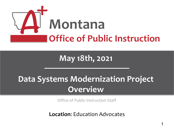

### **May 18th, 2021**

## **Data Systems Modernization Project Overview**

Office of Public Instruction Staff

**Location, Ludeation Auvocates Location**: Education Advocates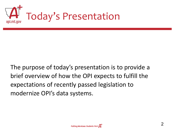

The purpose of today's presentation is to provide a brief overview of how the OPI expects to fulfill the expectations of recently passed legislation to modernize OPI's data systems.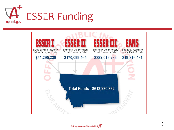

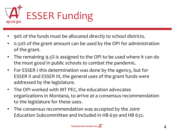

- 90% of the funds must be allocated directly to school districts.
- 0.50% of the grant amount can be used by the OPI for administration of the grant.
- The remaining 9.5% is assigned to the OPI to be used where it can do the most good in public schools to combat the pandemic.
- For ESSER I this determination was done by the agency, but for ESSER II and ESSER III, the general uses of the grant funds were addressed by the legislature.
- The OPI worked with MT PEC, the education advocates organizations in Montana, to arrive at a consensus recommendation to the legislature for these uses.
- The consensus recommendation was accepted by the Joint Education Subcommittee and included in HB 630 and HB 632.

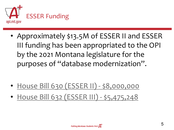

• Approximately \$13.5M of ESSER II and ESSER III funding has been appropriated to the OPI by the 2021 Montana legislature for the purposes of "database modernization".

- [House Bill 630](http://laws.leg.mt.gov/legprd/LAW0203W$BSRV.ActionQuery?P_SESS=20211&P_BLTP_BILL_TYP_CD=HB&P_BILL_NO=630&P_BILL_DFT_NO=&P_CHPT_NO=&Z_ACTION=Find&P_ENTY_ID_SEQ2=&P_SBJT_SBJ_CD=&P_ENTY_ID_SEQ=) (ESSER II) \$8,000,000
- [House Bill 632](http://laws.leg.mt.gov/legprd/LAW0203W$BSRV.ActionQuery?P_SESS=20211&P_BLTP_BILL_TYP_CD=HB&P_BILL_NO=632&P_BILL_DFT_NO=&P_CHPT_NO=&Z_ACTION=Find&P_ENTY_ID_SEQ2=&P_SBJT_SBJ_CD=&P_ENTY_ID_SEQ=) (ESSER III) \$5,475,248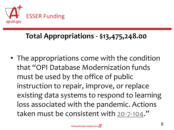

#### **Total Appropriations - \$13,475,248.00**

• The appropriations come with the condition that "OPI Database Modernization funds must be used by the office of public instruction to repair, improve, or replace existing data systems to respond to learning loss associated with the pandemic. Actions taken must be consistent with [20-7-104](https://leg.mt.gov/bills/mca/title_0200/chapter_0070/part_0010/section_0040/0200-0070-0010-0040.html)."

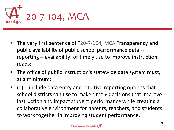

- The very first sentence of "[20-7-104, MCA](https://leg.mt.gov/bills/mca/title_0200/chapter_0070/part_0010/section_0040/0200-0070-0010-0040.html) Transparency and public availability of public school performance data - reporting -- availability for timely use to improve instruction" reads:
- The office of public instruction's statewide data system must, at a minimum:
- (a) include data entry and intuitive reporting options that school districts can use to make timely decisions that improve instruction and impact student performance while creating a collaborative environment for parents, teachers, and students to work together in improving student performance.

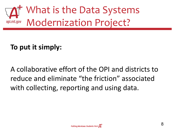

#### **To put it simply:**

A collaborative effort of the OPI and districts to reduce and eliminate "the friction" associated with collecting, reporting and using data.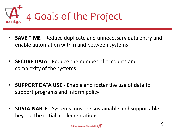

- **SAVE TIME**  Reduce duplicate and unnecessary data entry and enable automation within and between systems
- **SECURE DATA**  Reduce the number of accounts and complexity of the systems
- **SUPPORT DATA USE**  Enable and foster the use of data to support programs and inform policy
- **SUSTAINABLE** Systems must be sustainable and supportable beyond the initial implementations

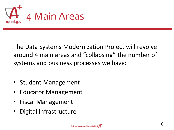

The Data Systems Modernization Project will revolve around 4 main areas and "collapsing" the number of systems and business processes we have:

- Student Management
- Educator Management
- Fiscal Management
- Digital Infrastructure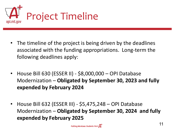

- The timeline of the project is being driven by the deadlines associated with the funding appropriations. Long-term the following deadlines apply:
- House Bill 630 (ESSER II) \$8,000,000 OPI Database Modernization – **Obligated by September 30, 2023 and fully expended by February 2024**
- House Bill 632 (ESSER III) \$5,475,248 OPI Database Modernization – **Obligated by September 30, 2024 and fully expended by February 2025**

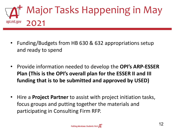

- Funding/Budgets from HB 630 & 632 appropriations setup and ready to spend
- Provide information needed to develop the **OPI's ARP-ESSER Plan (This is the OPI's overall plan for the ESSER II and III funding that is to be submitted and approved by USED)**
- Hire a **Project Partner** to assist with project initiation tasks, focus groups and putting together the materials and participating in Consulting Firm RFP.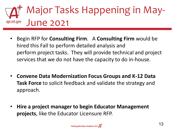#### Major Tasks Happening in May-June 2021opi.mt.gov

- Begin RFP for **Consulting Firm**. A **Consulting Firm** would be hired this Fall to perform detailed analysis and perform project tasks. They will provide technical and project services that we do not have the capacity to do in-house.
- **Convene Data Modernization Focus Groups and K-12 Data Task Force** to solicit feedback and validate the strategy and approach.
- **Hire a project manager to begin Educator Management projects**, like the Educator Licensure RFP.

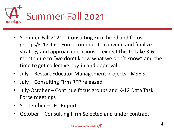

- Summer-Fall 2021 Consulting Firm hired and focus groups/K-12 Task Force continue to convene and finalize strategy and approach decisions. I expect this to take 3-6 month due to "we don't know what we don't know" and the time to get collective buy-in and approval.
- July Restart Educator Management projects MSEIS
- July Consulting Firm RFP released
- July-October Continue focus groups and K-12 Data Task Force meetings
- September LFC Report
- October Consulting Firm Selected and under contract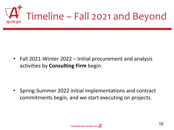

• Fall 2021-Winter 2022 – Initial procurement and analysis activities by **Consulting Firm** begin.

• Spring-Summer 2022 initial implementations and contract commitments begin, and we start executing on projects.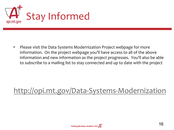

• Please visit the Data Systems Modernization Project webpage for more information. On the project webpage you'll have access to all of the above information and new information as the project progresses. You'll also be able to subscribe to a mailing list to stay connected and up to date with the project

#### <http://opi.mt.gov/Data-Systems-Modernization>